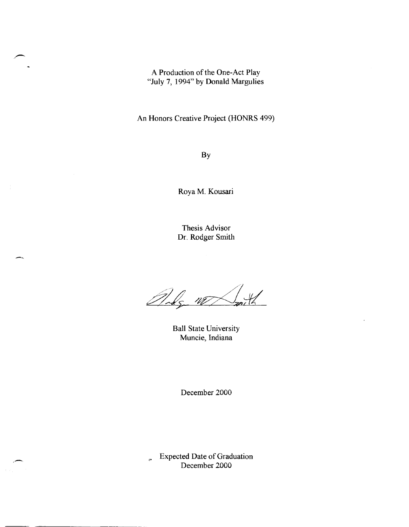A Production of the One-Act Play "July 7, 1994" by Donald Margulies

An Honors Creative Project (HONRS 499)

By

Roya M. Kousari

Thesis Advisor Dr. Rodger Smith

Andg W  $\mathcal{U}$ 

Ball State University Muncie, Indiana

December 2000

<> Expected Date of Graduation December 2000

,-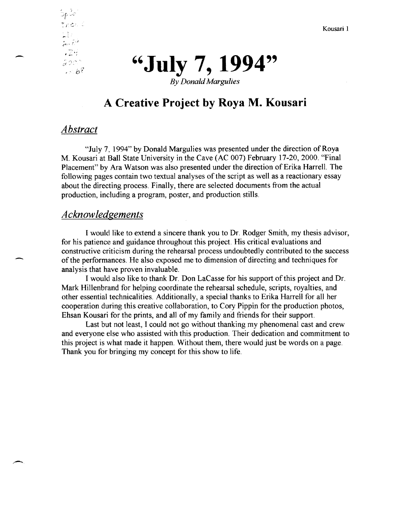Kousari 1



## **A Creative Project by Roya M. Kousari**

#### *Abstract*

 $\frac{5p^{3}\phi^2}{\tan \phi}$ 

 $, 24$ 

 $500<sup>o</sup>$  $1.568$ 

 $\mathbb{R}^3$ فسائح سبغتي

-

,-

"July 7, 1994" by Donald Margulies was presented under the direction of Roya M. Kousari at Ball State University in the Cave (AC 007) February 17-20,2000. "Final Placement" by Ara Watson was also presented under the direction of Erika Harrell. The following pages contain two textual analyses of the script as well as a reactionary essay about the directing process. Finally, there are selected documents from the actual production, including a program, poster, and production stills.

#### *Acknowledgements*

I would like to extend a sincere thank you to Dr. Rodger Smith, my thesis advisor, for his patience and guidance throughout this project. His critical evaluations and constructive criticism during the rehearsal process undoubtedly contributed to the success of the performances. He also exposed me to dimension of directing and techniques for analysis that have proven invaluable.

I would also like to thank Dr. Don LaCasse for his support of this project and Dr. Mark Hillenbrand for helping coordinate the rehearsal schedule, scripts, royalties, and other essential technicalities. Additionally, a special thanks to Erika Harrell for all her cooperation during this creative collaboration, to Cory Pippin for the production photos, Ehsan Kousari for the prints, and all of my family and friends for their support.

Last but not least, I could not go without thanking my phenomenal cast and crew and everyone else who assisted with this production. Their dedication and commitment to this project is what made it happen. Without them, there would just be words on a page. Thank you for bringing my concept for this show to life.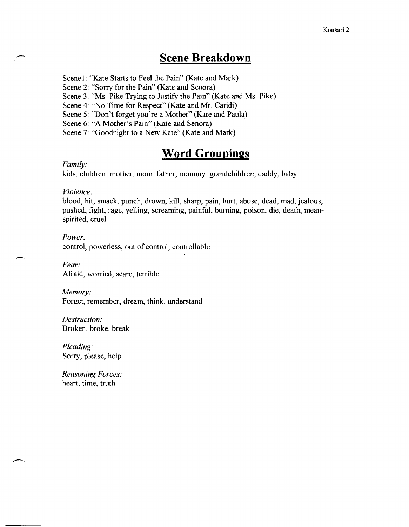## **Scene Breakdown**

Scenel: "Kate Starts to Feel the Pain" (Kate and Mark)

Scene 2: "Sorry for the Pain" (Kate and Senora)

Scene 3: "Ms. Pike Trying to Justify the Pain" (Kate and Ms. Pike)

Scene 4: "No Time for Respect" (Kate and Mr. Caridi)

Scene 5: "Don't forget you're a Mother" (Kate and Paula)

Scene 6: "A Mother's Pain" (Kate and Senora)

Scene 7: "Goodnight to a New Kate" (Kate and Mark)

## **Word Groupings**

#### *Family:*

--

-

kids, children, mother, mom, father, mommy, grandchildren, daddy, baby

*Violence:* 

blood, hit, smack, punch, drown, kill, sharp, pain, hurt, abuse, dead, mad, jealous, pushed, fight, rage, yelling, screaming, painful, burning, poison, die, death, meanspirited, cruel

*Power:*  control, powerless, out of control, controllable

*Fear:*  Afraid, worried, scare, terrible

*Memory:*  Forget, remember, dream, think, understand

*Destruction:*  Broken, broke, break

*Pleading:*  Sorry, please, help

*Reasoning Forces:*  heart, time, truth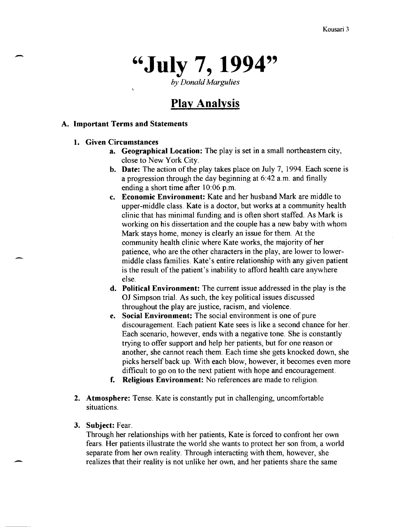# **"July 7, 1994"**

by *Donald Margulies* 

## **Play Analysis**

#### A. Important Terms and Statements

1. Given Circumstances

-

- a. Geographical Location: The play is set in a small northeastern city, close to New York City.
- b. Date: The action of the play takes place on July 7, 1994. Each scene is a progression through the day beginning at 6:42 a.m. and finally ending a short time after 10:06 p.m.
- c. Economic Environment: Kate and her husband Mark are middle to upper-middle class. Kate is a doctor, but works at a community health clinic that has minimal funding and is often short staffed. As Mark is working on his dissertation and the couple has a new baby with whom Mark stays home, money is clearly an issue for them. At the community health clinic where Kate works, the majority of her patience, who are the other characters in the play, are lower to lowermiddle class families. Kate's. entire relationship with any given patient is the result of the patient's inability to afford health care anywhere else.
- d. Political Environment: The current issue addressed in the play is the OJ Simpson trial. As such, the key political issues discussed throughout the play are justice, racism, and violence.
- e. Social Environment; The social environment is one of pure discouragement. Each patient Kate sees is like a second chance for her. Each scenario, however, ends with a negative tone. She is constantly tryjng to offer support and help her patients, but for one reason or another, she cannot reach them. Each time she gets knocked down, she picks herself back up. With each blow, however, it becomes even more difficult to go on to the next patient with hope and encouragement.
- f. Religious Environment: No references are made to religion.
- 2. Atmosphere: Tense. Kate is constantly put in challenging, uncomfortable situations.
- 3. Subject: Fear.

Through her relationships with her patients, Kate is forced to confront her own fears. Her patients illustrate the world she wants to protect her son from, a world separate from her own reality. Through interacting with them, however, she realizes that their reality is not unlike her own, and her patients share the same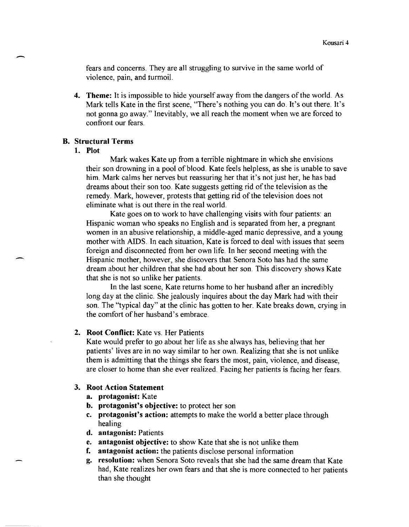Kousari 4<br>fears and concerns. They are all struggling to survive in the same world of violence, pain, and turmoil.

> 4. Theme: It is impossible to hide yourself away from the dangers of the world. As Mark tdls Kate in the first scene, "There's nothing you can do. It's *out* there. It's not gonna go away." Inevitably, we all reach the moment when we are forced to confront our fears.

#### B. Structural Terms

#### 1. Plot

Mark wakes Kate up from a terrible nightmare in which she envisions their son drowning in a pool of blood. Kate feels helpless, as she is unable to save him. Mark calms her nerves but reassuring her that it's not just her, he has bad dreams about their son too. Kate suggests getting rid of the television as the remedy. Mark, however, protests that getting rid of the television does not eliminate what is out there in the real world.

Kate goes on to work to have challenging visits with four patients: an Hispanic woman who speaks no English and is separated from her, a pregnant women in an abusive relationship, a middle-aged manic depressive, and a young mother with AIDS. In each situation, Kate is forced to deal with issues that seem foreign and disconnected from her own life. In her second meeting with the Hispanic mother, however, she discovers that Senora Soto has had the same dream about her children that she had about her son. This discovery shows Kate that she is not so unlike her patients.

In the last scene, Kate returns home to her husband after an incredibly long day at the clinic. She jealously inquires about the day Mark had with their son. The "typical day" at the clinic has gotten to her. Kate breaks down, crying in the comfort of her husband's embrace.

#### 2. Root Conflict: Kate vs. Her Patients

Kate would prefer to go about her life as she always has, believing that her patients' lives are in no way similar to her own. Realizing that she is not unlike them is. admitting that the things she fears the most, pain, violence, and disease, are closer to home than she ever realized. Facing her patients is facing her fears.

#### 3. Root Action Statement

- a. protagonist: Kate
- b. protagonist's objective: to protect her son
- c. protagonist's action: attempts to make the world a better place through healing
- d. antagonist: Patients
- e. antagonist objective: to show Kate that she is not unlike them
- f. antagonist action: the patients disclose personal information
- g. resolution: when Senora Soto reveals that she had the same dream that Kate had, Kate realizes her own fears and that she is more connected to her patients than she thought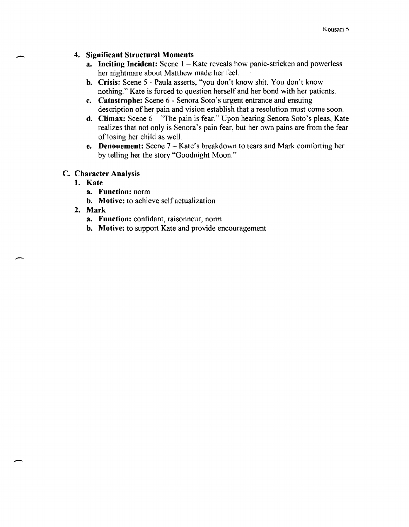#### **4. Significant Structural Moments**

- **a.** Inciting Incident: Scene 1 Kate reveals how panic-stricken and powerless her nightmare about Matthew made her feel.
- **b. Crisis:** Scene 5 Paula asserts, "you don't know shit. You don't know nothing." Kate is forced to question herself and her bond with her patients.
- **c. Catastrophe:** Scene 6 Senora Soto's urgent entrance and ensuing description of her pain and vision establish that a resolution must come soon.
- **d.** Climax: Scene 6 "The pain is fear." Upon hearing Senora Soto's pleas, Kate realizes that not only is Senora's pain fear, but her own pains are from the fear of losing her child as well.
- **e. Denouement:** Scene 7 Kate's breakdown to tears and Mark comforting her by telling her the story "Goodnight Moon."

#### C. **Character Analysis**

#### **1. Kate**

-

,-

-

- **a. Function:** norm
- **b. Motive:** to achieve self actualization

#### **2. Mark**

- **a. Function:** confidant, raisonneur, norm
- **b. Motive:** to support Kate and provide encouragement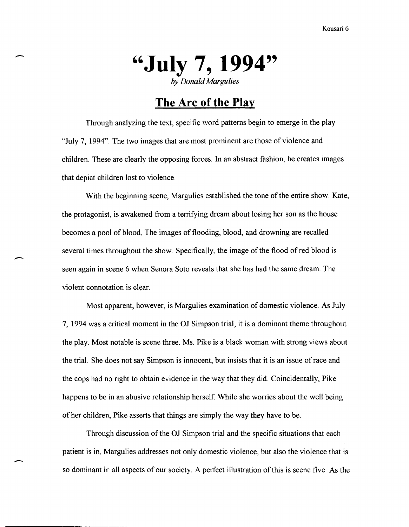- **"July 7, 1994"**  *by Donald Margulies* 

## **The Arc of the Play**

Through analyzing the text, specific word patterns begin to emerge in the play "July 7, 1994". The two images that are most prominent are those of violence and children. These are clearly the opposing forces. In an abstract fashion, he creates images that depict children lost to violence.

With the beginning scene, Margulies established the tone of the entire show. Kate, the protagonist, is awakened from a terrifying dream about losing her son as the house becomes a pool of blood. The images of flooding, blood, and drowning are recalled several times throughout the show. Specifically, the image of the flood of red blood is seen again in scene 6 when Senora Soto reveals that she has had the same dream. The violent connotation is clear.

> Most apparent, however, is Margulies examination of domestic violence. As July 7, 1994 was a critical moment in the OJ Simpson trial, it is a dominant theme throughout the play. Most notable is scene three. Ms. Pike is a black woman with strong views about the trial. She does not say Simpson is innocent, but insists that it is an issue of race and the cops had no right to obtain evidence in the way that they did. Coincidentally, Pike happens to be in an abusive relationship herself. While she worries about the well being of her children, Pike asserts that things are simply the way they have to be.

> Through discussion of the OJ Simpson trial and the specific situations that each patient is in, Margulies addresses not only domestic violence, but also the violence that is so dominant in all aspects of our society. A perfect illustration of this is scene five. As the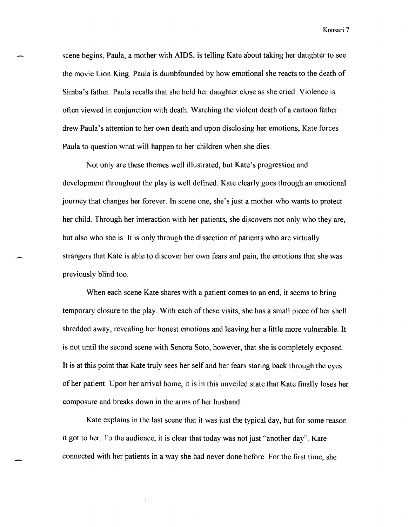Kousari 7

scene begins, Paula, a mother with AIDS, is telling Kate about taking her daughter to see the movie Lion King. Paula is dumbfounded by how emotional she reacts to the death of Simba's father Paula recalls that she held her daughter close as she cried. Violence is often viewed in conjunction with death. Watching the violent death of a cartoon father drew Paula's attention to her own death and upon disclosing her emotions, Kate forces Paula to question what will happen to her children when she dies.

Not only are these themes well illustrated, but Kate's progression and development throughout the play is well defined. Kate clearly goes through an emotional journey that changes her forever. In scene one, she's just a mother who wants to protect her child. Through her interaction with her patients, she discovers not only who they are, but also who she is. It is only through the dissection of patients who are virtually strangers that Kate is able to discover her own fears and pain, the emotions that she was previously blind too.

When each scene Kate shares with a patient comes to an end, it seems to bring temporary closure to the play. With each of these visits, she has a small piece of her shell shredded away, revealing her honest emotions and leaving her a little more vulnerable. It is not until the second scene with Senora Soto, however, that she is completely exposed. It is at this point that Kate truly sees her self and her fears staring back through the eyes of her patient. Upon her arrival home, it is in this unveiled state that Kate finally loses her composure and breaks down in the arms of her husband.

Kate explains in the last scene that it was just the typical day, but for some reason it got to her. To the audience, it is clear that today was not just "another day". Kate connected with her patients in a way she had never done before. For the first time, she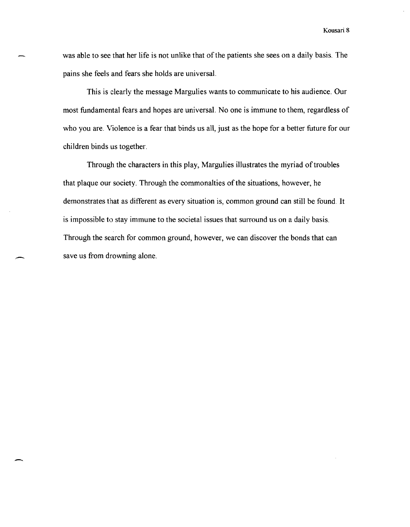was able to see that her life is not unlike that of the patients she sees on a daily basis. The pains she feels and fears she holds are universal.

This is dearly the message Margulies wants to communicate to his audience. Our most fundamental fears and hopes are universal. No one is immune to them, regardless of who you are. Violence is a fear that binds us all, just as the hope for a better future for our children binds us together.

Through the characters in this play, Margulies illustrates the myriad of troubles that plaque our society. Through the commonalties of the situations, however, he demonstrates that as different as every situation is, common ground can still be found. It is impossible to stay immune to the societal issues that surround us on a daily basis. Through the search for common ground, however, we can discover the bonds that can save us from drowning alone.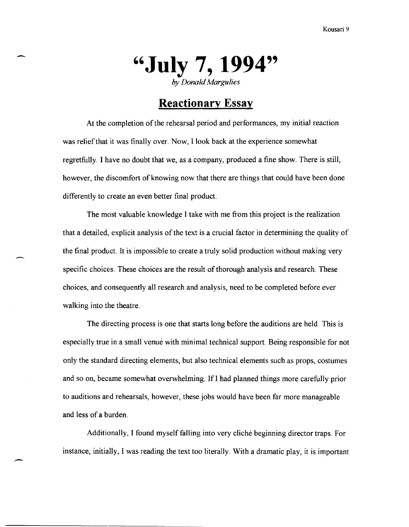

#### **Reactionary Essay**

At the completion of the rehearsal period and performances, my initial reaction was relief that it was finally over. Now, I look back at the experience somewhat regretfully. I have no doubt that we, as a company, produced a fine show. There is still, however, the discomfort of knowing now that there are things that could have been done differently to create an even better final product.

The most valuable knowledge I take with me from this project is the realization that a detailed, explicit analysis of the text is a crucial factor in determining the quality of the final product. It is impossible to create a truly solid production without making very specific choices. These choices are the result of thorough analysis and research. These choices, and consequently all research and analysis, need to be completed before ever walking into the theatre.

The directing process is one that starts long before the auditions are held. This is especially true in a small venue with minimal technical support. Being responsible for not only the standard directing elements, but also technical elements such as props, costumes and so on, became somewhat overwhelming. If I had planned things more carefully prior to auditions and rehearsals, however, these jobs would have been far more manageable and less of a burden.

Additionally, I found myself falling into very cliche beginning director traps. For instance, initially, I was reading the text too literally. With a dramatic play, it is important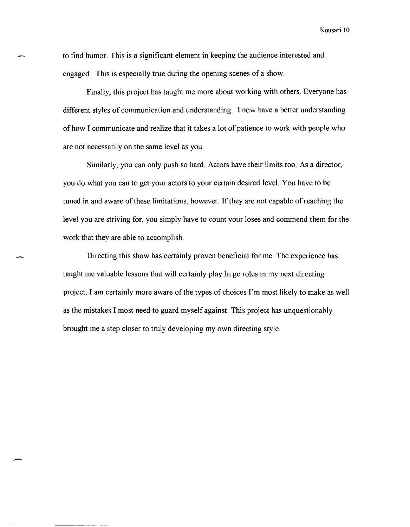Kousari 10

to find humor. This is a significant element in keeping the audience interested and engaged. This is especially true during the opening scenes of a show.

Finally, this project has taught me more about working with others. Everyone has different styles of communication and understanding. I now have a better understanding of how I communicate and realize that it takes a lot of patience to work with people who are not necessarily on the same level as you.

Similarly, you can only push so hard. Actors have their limits too. As a director, you do what you can to get your actors to your certain desired level. YOU have to be tuned in and aware of these limitations, however. If they are not capable of reaching the level you are striving for, you simply have to count your loses and commend them for the work that they are able to accomplish.

Directing this show has certainly proven beneficial for me. The experience has taught me valuable lessons that will certainly play large roles in my next directing project. I am certainly more aware of the types of choices I'm most likely to make as well as the mistakes I most need to guard myself against. This project has unquestionably brought me a step closer to truly developing my own directing style.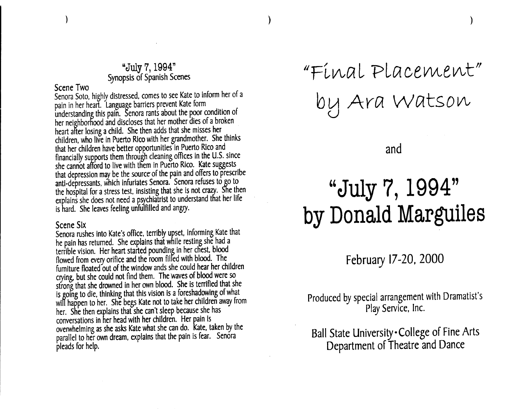#### "July 7, 1994" Synopsis of Spanish Scenes

#### Scene Two

Senora Soto, highly distressed, comes to see Kate to inform her of a pain in her heart. Language barriers prevent Kate form understanding this pain. Senora rants about the poor condition of her neighborhood and discloses that her mother dies of a broken heart after losing a child. She then adds that she misses her children, who live in Puerto Rico with her grandmother. She thinks that her children have better opportunities in Puerto Rico and financially supports them through cleaning offices in the U.S. since she cannot afford to live with them in Puerto Rico. Kate suggests that depression may be the source of the pain and offers to prescribe anti-depressants, which infuriates Senora. Senora refuses to go to the hospital for a stress test, insisting that she is not crazy. She then explains she does not need a psychiatrist to understand that her life is hard. She leaves feeling unfulfilled and angry.

#### Scene SIx

Senora rushes into Kate's office, terribly upset, informing Kate that he pain has returned. She explains that while resting she had a terrible vision. Her heart started pounding in her chest, blood flowed from every orifice and the room filfed with blood. The furniture floated out of the window ands she could hear her children crying, but she could not find them. The waves of blood were so strong that she drowned in her own blood. She is terrified that she is going to die, thinking that this vision Is a foreshadowing of what will happen to her. She begs Kate not to take her children *away* from her. She then explains that she can't sleep because she has conversations in her head with her children. Her pain Is overwhelming as she asks Kate what she can do. Kate, taken by the parallel to her own dream, explains that the pain is fear. Senora pleads for help.

"Final Placement" by Ara Watson  $\bigcup$ 

and

## "July 7, 1994" by Donald Marguiles

February 17-20, 2000

Produced by special arrangement with Dramatist's Play Service, Inc.

Ball State University College of Fine Arts Department of Theatre and Dance

) and the contract of  $\mathcal{O}(n)$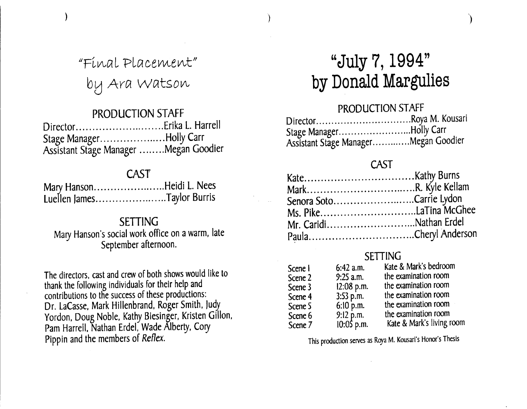"Final Placement" by Ara Watson

)

#### PRODUCTION STAFF

| Stage ManagerHolly Carr               |  |
|---------------------------------------|--|
| Assistant Stage Manager Megan Goodier |  |

### CAST

|  | Mary HansonHeidi L. Nees   |
|--|----------------------------|
|  | Luellen JamesTaylor Burris |

#### SETTING

Mary Hanson's social work office on a warm, late September afternoon.

The directors, cast and crew of both shows would like to thank the following individuals for their help and contributions to the success of these productions: Dr. LaCasse, Mark Hillenbrand, Roger Smith, Judy Yordon, Doug Noble, Kathy Biesinger, Kristen Gillon, Pam Harrell, Nathan Erdel, Wade Alberty, Cory Pippin and the members of Reflex.

## **"July 7, 1994" by Donald Margulies**

 $\overline{\phantom{a} \phantom{a}}$ 

PRODUCTION STAFF Director..................................Roya M. Kousari Stage Manager.............................Holly Carr Assistant Stage Manager ............. Megan Goodier

#### CAST

| Senora SotoCarrie Lydon |                        |
|-------------------------|------------------------|
|                         |                        |
|                         | Mr. CaridiNathan Erdel |
|                         |                        |

## **SETTING**

| Scene I | $6:42$ a.m.                 | Kate & Mark's bedroom     |
|---------|-----------------------------|---------------------------|
| Scene 2 | $9:25$ a.m.                 | the examination room      |
| Scene 3 | 12:08 p.m.                  | the examination room      |
| Scene 4 | $3:53$ p.m.                 | the examination room      |
| Scene 5 | $6:10$ p.m.                 | the examination room      |
| Scene 6 |                             | the examination room      |
| Scene 7 | $9:12$ p.m.<br>$10:05$ p.m. | Kate & Mark's living room |

This production serves as Roya M. Kousari's Honor's Thesis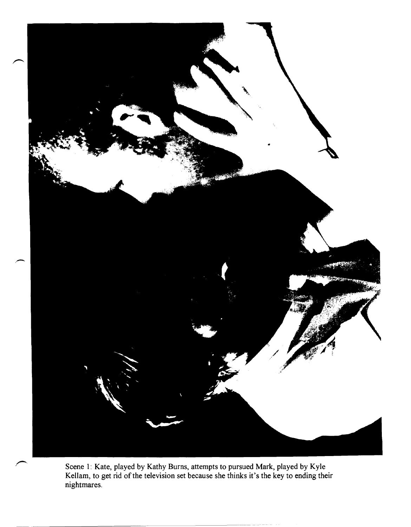

Scene 1: Kate, played by Kathy Burns, attempts to pursued Mark, played by Kyle Kellam, to get rid of the television set because she thinks it's the key to ending their nightmares.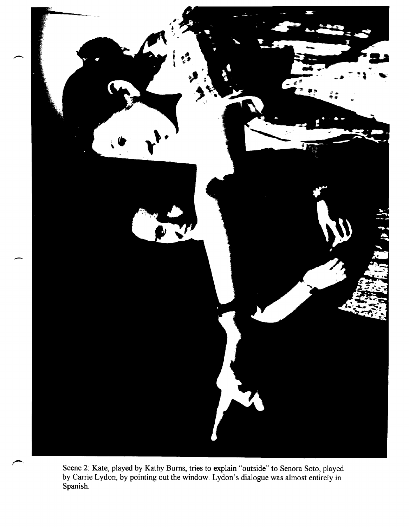

Scene 2: Kate, played by Kathy Burns, tries to explain "outside" to Senora Soto, played by Carrie Lydon, by pointing out the window. Lydon's dialogue was almost entirely in Spanish.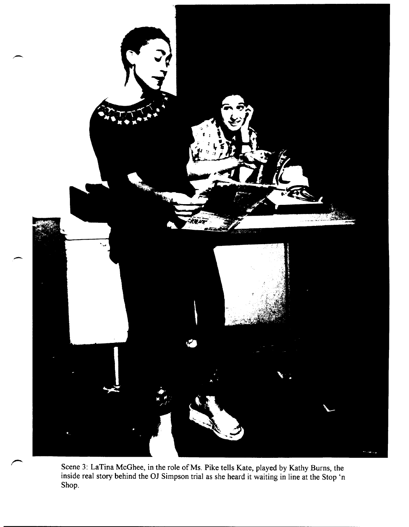

Scene 3: LaTina McGhee, in the role of Ms. Pike tells Kate, played by Kathy Burns, the inside real story behind the OJ Simpson trial as she heard it waiting in line at the Stop 'n Shop.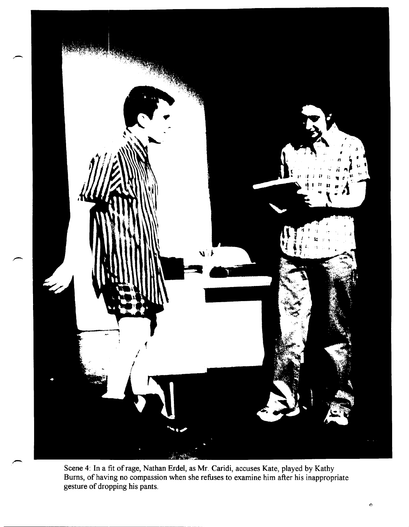

Scene 4: In a fit of rage, Nathan Erdel, as Mr. Caridi, accuses Kate, played by Kathy Bums, of having no compassion when she refuses to examine him after his inappropriate gesture of dropping his pants.